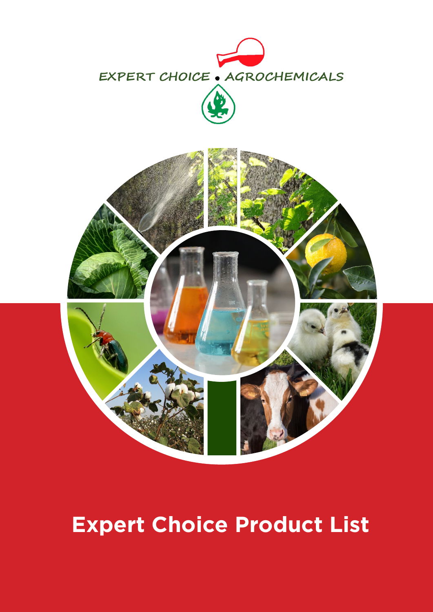



# **Expert Choice Product List**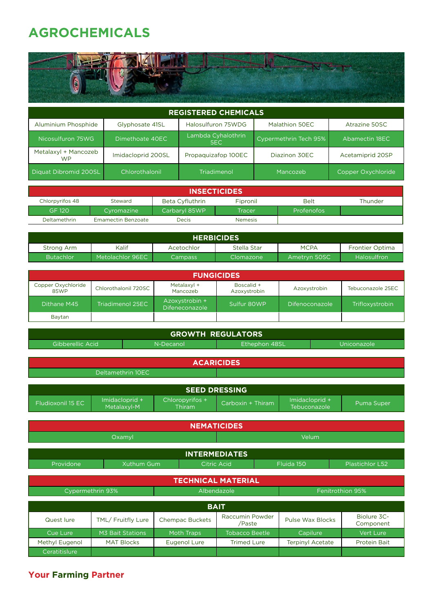### **AGROCHEMICALS**

| <b>REGISTERED CHEMICALS</b>       |                               |                            |                       |                    |  |  |
|-----------------------------------|-------------------------------|----------------------------|-----------------------|--------------------|--|--|
| Aluminium Phosphide               | Glyphosate 41SL               | Halosulfuron 75WDG         | Malathion 50EC        | Atrazine 50SC      |  |  |
| Nicosulfuron 75WG                 | Dimethoate 40EC               | Lambda Cyhalothrin<br>SEC. | Cypermethrin Tech 95% | Abamectin 18EC     |  |  |
| Metalaxyl + Mancozeb<br><b>WP</b> | Imidacloprid 200SL            | Propaguizafop 100EC        | Diazinon 30EC         | Acetamiprid 20SP   |  |  |
| Diquat Dibromid 200SL             | Chlorothalonil<br>Triadimenol |                            | Mancozeb              | Copper Oxychloride |  |  |
|                                   |                               |                            |                       |                    |  |  |

| <b>INSECTICIDES</b>                                                          |                           |               |                |                   |  |  |
|------------------------------------------------------------------------------|---------------------------|---------------|----------------|-------------------|--|--|
| Beta Cyfluthrin<br>Belt<br>Fipronil<br>Thunder<br>Chlorpyrifos 48<br>Steward |                           |               |                |                   |  |  |
| <b>GF 120</b>                                                                | Cyromazine '              | Carbaryl 85WP | Tracer         | <b>Profenofos</b> |  |  |
| <b>Deltamethrin</b>                                                          | <b>Emamectin Benzoate</b> | Decis         | <b>Nemesis</b> |                   |  |  |

| <b>HERBICIDES</b> |                  |            |             |              |                        |  |
|-------------------|------------------|------------|-------------|--------------|------------------------|--|
| Strong Arm        | Kalif            | Acetochlor | Stella Star | <b>MCPA</b>  | <b>Frontier Optima</b> |  |
| <b>Butachlor</b>  | Metolachlor 96EC | Campass    | Clomazone   | Ametryn 50SC | <b>Halosulfron</b>     |  |

| <b>FUNGICIDES</b>          |                      |                                         |                            |                |                   |  |  |
|----------------------------|----------------------|-----------------------------------------|----------------------------|----------------|-------------------|--|--|
| Copper Oxychloride<br>85WP | Chlorothalonil 720SC | Metalaxyl +<br>Mancozeb                 | Boscalid +<br>Azoxystrobin | Azoxystrobin   | Tebuconazole 25EC |  |  |
| Dithane M45                | Triadimenol 25EC     | Azoxystrobin +<br><b>Difeneconazole</b> | Sulfur 80WP                | Difenoconazole | Trifloxystrobin   |  |  |
| Baytan                     |                      |                                         |                            |                |                   |  |  |

| <b>GROWTH REGULATORS</b> |                               |                   |                           |                                                            |                                |  |                          |  |
|--------------------------|-------------------------------|-------------------|---------------------------|------------------------------------------------------------|--------------------------------|--|--------------------------|--|
| Gibberellic Acid         |                               |                   | N-Decanol                 | Ethephon 48SL                                              |                                |  | Uniconazole              |  |
|                          |                               |                   |                           |                                                            |                                |  |                          |  |
|                          |                               |                   |                           | <b>ACARICIDES</b>                                          |                                |  |                          |  |
| Deltamethrin 10EC        |                               |                   |                           |                                                            |                                |  |                          |  |
|                          |                               |                   |                           |                                                            |                                |  |                          |  |
|                          |                               |                   |                           | <b>SEED DRESSING</b>                                       |                                |  |                          |  |
| Fludioxonil 15 EC        | Imidacloprid +<br>Metalaxyl-M |                   | Chloropyrifos +<br>Thiram | Carboxin + Thiram                                          | Imidacloprid +<br>Tebuconazole |  | Puma Super               |  |
|                          |                               |                   |                           |                                                            |                                |  |                          |  |
|                          |                               |                   |                           | <b>NEMATICIDES</b>                                         |                                |  |                          |  |
|                          | Oxamyl                        |                   |                           | Velum                                                      |                                |  |                          |  |
|                          |                               |                   |                           |                                                            |                                |  |                          |  |
|                          |                               |                   |                           | <b>INTERMEDIATES</b>                                       |                                |  |                          |  |
| Providone                |                               | <b>Xuthum Gum</b> |                           | Fluida 150<br><b>Plastichlor L52</b><br><b>Citric Acid</b> |                                |  |                          |  |
|                          |                               |                   |                           | <b>TECHNICAL MATERIAL</b>                                  |                                |  |                          |  |
|                          | Cypermethrin 93%              |                   |                           | Albendazole                                                |                                |  | Fenitrothion 95%         |  |
| <b>BAIT</b>              |                               |                   |                           |                                                            |                                |  |                          |  |
|                          |                               |                   |                           |                                                            |                                |  |                          |  |
| Quest lure               | TML/ Fruitfly Lure            |                   | <b>Chempac Buckets</b>    | Raccumin Powder<br>/Paste                                  | <b>Pulse Wax Blocks</b>        |  | Biolure 3C-<br>Component |  |
| Cue Lure                 | <b>M3 Bait Stations</b>       |                   | <b>Moth Traps</b>         | <b>Tobacco Beetle</b>                                      | Capilure                       |  | Vert Lure                |  |
| Methyl Eugenol           | <b>MAT Blocks</b>             |                   | Eugenol Lure              | <b>Trimed Lure</b>                                         | <b>Terpinyl Acetate</b>        |  | <b>Protein Bait</b>      |  |
| Ceratitislure            |                               |                   |                           |                                                            |                                |  |                          |  |

#### **Your Farming Partner**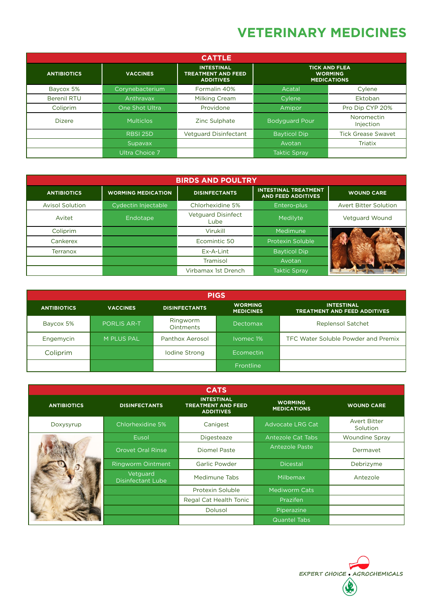### **VETERINARY MEDICINES**

| <b>CATTLE</b>      |                  |                                                                    |                                                              |                           |  |  |
|--------------------|------------------|--------------------------------------------------------------------|--------------------------------------------------------------|---------------------------|--|--|
| <b>ANTIBIOTICS</b> | <b>VACCINES</b>  | <b>INTESTINAL</b><br><b>TREATMENT AND FEED</b><br><b>ADDITIVES</b> | <b>TICK AND FLEA</b><br><b>WORMING</b><br><b>MEDICATIONS</b> |                           |  |  |
| Baycox 5%          | Corynebacterium  | Formalin 40%                                                       | Acatal                                                       | Cylene                    |  |  |
| <b>Berenil RTU</b> | Anthravax        | <b>Milking Cream</b>                                               | Cylene                                                       | Ektoban                   |  |  |
| Coliprim           | One Shot Ultra   | Providone                                                          | Amipor                                                       | Pro Dip CYP 20%           |  |  |
| <b>Dizere</b>      | <b>Multiclos</b> | Zinc Sulphate                                                      | <b>Bodyguard Pour</b>                                        | Noromectin<br>Injection   |  |  |
|                    | <b>RBSI 25D</b>  | <b>Vetguard Disinfectant</b>                                       | <b>Bayticol Dip</b>                                          | <b>Tick Grease Swavet</b> |  |  |
|                    | Supavax          |                                                                    | Avotan                                                       | <b>Triatix</b>            |  |  |
|                    | Ultra Choice 7   |                                                                    | <b>Taktic Spray</b>                                          |                           |  |  |

| <b>BIRDS AND POULTRY</b> |                           |                                   |                                                          |                              |  |  |  |
|--------------------------|---------------------------|-----------------------------------|----------------------------------------------------------|------------------------------|--|--|--|
| <b>ANTIBIOTICS</b>       | <b>WORMING MEDICATION</b> | <b>DISINFECTANTS</b>              | <b>INTESTINAL TREATMENT</b><br><b>AND FEED ADDITIVES</b> | <b>WOUND CARE</b>            |  |  |  |
| <b>Avisol Solution</b>   | Cydectin Injectable       | Chlorhexidine 5%                  | Entero-plus                                              | <b>Avert Bitter Solution</b> |  |  |  |
| Avitet                   | Endotape                  | <b>Vetguard Disinfect</b><br>Lube | Medilyte                                                 | <b>Vetguard Wound</b>        |  |  |  |
| Coliprim                 |                           | Virukill                          | Medimune                                                 |                              |  |  |  |
| Cankerex                 |                           | Ecomintic 50                      | Protexin Soluble                                         |                              |  |  |  |
| <b>Terranox</b>          |                           | Ex-A-Lint                         | <b>Bayticol Dip</b>                                      |                              |  |  |  |
|                          |                           | Tramisol                          | Avotan                                                   |                              |  |  |  |
|                          |                           | Virbamax 1st Drench               | <b>Taktic Spray</b>                                      |                              |  |  |  |

| <b>PIGS</b>        |                    |                              |                                    |                                                          |  |  |  |
|--------------------|--------------------|------------------------------|------------------------------------|----------------------------------------------------------|--|--|--|
| <b>ANTIBIOTICS</b> | <b>VACCINES</b>    | <b>DISINFECTANTS</b>         | <b>WORMING</b><br><b>MEDICINES</b> | <b>INTESTINAL</b><br><b>TREATMENT AND FEED ADDITIVES</b> |  |  |  |
| Baycox 5%          | <b>PORLIS AR-T</b> | Ringworm<br><b>Ointments</b> | <b>Dectomax</b>                    | <b>Replensol Satchet</b>                                 |  |  |  |
| Engemycin          | M PLUS PAL         | Panthox Aerosol              | Ivomec 1%                          | TFC Water Soluble Powder and Premix                      |  |  |  |
| Coliprim           |                    | Iodine Strong                | Ecomectin                          |                                                          |  |  |  |
|                    |                    |                              | Frontline                          |                                                          |  |  |  |

|                    |                                      | <b>CATS</b>                                                        |                                      |                                        |
|--------------------|--------------------------------------|--------------------------------------------------------------------|--------------------------------------|----------------------------------------|
| <b>ANTIBIOTICS</b> | <b>DISINFECTANTS</b>                 | <b>INTESTINAL</b><br><b>TREATMENT AND FEED</b><br><b>ADDITIVES</b> | <b>WORMING</b><br><b>MEDICATIONS</b> | <b>WOUND CARE</b>                      |
| Doxysyrup          | Chlorhexidine 5%                     | Canigest                                                           | <b>Advocate LRG Cat</b>              | <b>Avert Bitter</b><br><b>Solution</b> |
|                    | Eusol                                | <b>Digesteaze</b>                                                  | Antezole Cat Tabs                    | <b>Woundine Spray</b>                  |
|                    | Orovet Oral Rinse                    | <b>Diomel Paste</b>                                                | <b>Antezole Paste</b>                | Dermayet                               |
|                    | <b>Ringworm Ointment</b>             | <b>Garlic Powder</b>                                               | <b>Dicestal</b>                      | Debrizyme                              |
|                    | Vetguard<br><b>Disinfectant Lube</b> | Medimune Tabs                                                      | Milbemax                             | Antezole                               |
|                    |                                      | Protexin Soluble                                                   | Mediworm Cats                        |                                        |
|                    |                                      | Regal Cat Health Tonic                                             | Prazifen                             |                                        |
|                    |                                      | <b>Dolusol</b>                                                     | Piperazine                           |                                        |
|                    |                                      |                                                                    | <b>Quantel Tabs</b>                  |                                        |